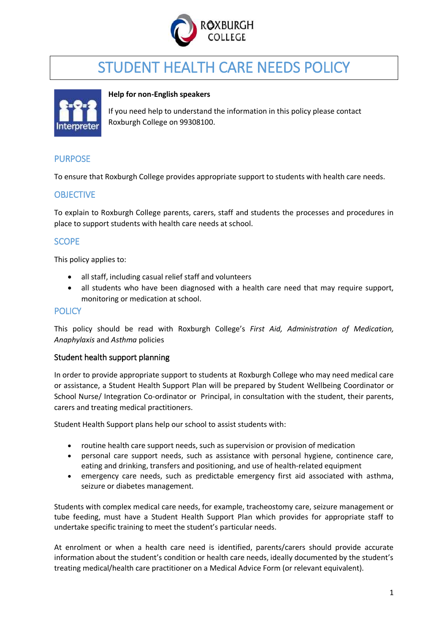

# STUDENT HEALTH CARE NEEDS POLICY



#### **Help for non-English speakers**

If you need help to understand the information in this policy please contact Roxburgh College on 99308100.

## PURPOSE

To ensure that Roxburgh College provides appropriate support to students with health care needs.

## **OBJECTIVE**

To explain to Roxburgh College parents, carers, staff and students the processes and procedures in place to support students with health care needs at school.

#### **SCOPE**

This policy applies to:

- all staff, including casual relief staff and volunteers
- all students who have been diagnosed with a health care need that may require support, monitoring or medication at school.

#### **POLICY**

This policy should be read with Roxburgh College's *First Aid, Administration of Medication, Anaphylaxis* and *Asthma* policies

#### Student health support planning

In order to provide appropriate support to students at Roxburgh College who may need medical care or assistance, a Student Health Support Plan will be prepared by Student Wellbeing Coordinator or School Nurse/ Integration Co-ordinator or Principal, in consultation with the student, their parents, carers and treating medical practitioners.

Student Health Support plans help our school to assist students with:

- routine health care support needs, such as supervision or provision of medication
- personal care support needs, such as assistance with personal hygiene, continence care, eating and drinking, transfers and positioning, and use of health-related equipment
- emergency care needs, such as predictable emergency first aid associated with asthma, seizure or diabetes management.

Students with complex medical care needs, for example, tracheostomy care, seizure management or tube feeding, must have a Student Health Support Plan which provides for appropriate staff to undertake specific training to meet the student's particular needs.

At enrolment or when a health care need is identified, parents/carers should provide accurate information about the student's condition or health care needs, ideally documented by the student's treating medical/health care practitioner on a Medical Advice Form (or relevant equivalent).